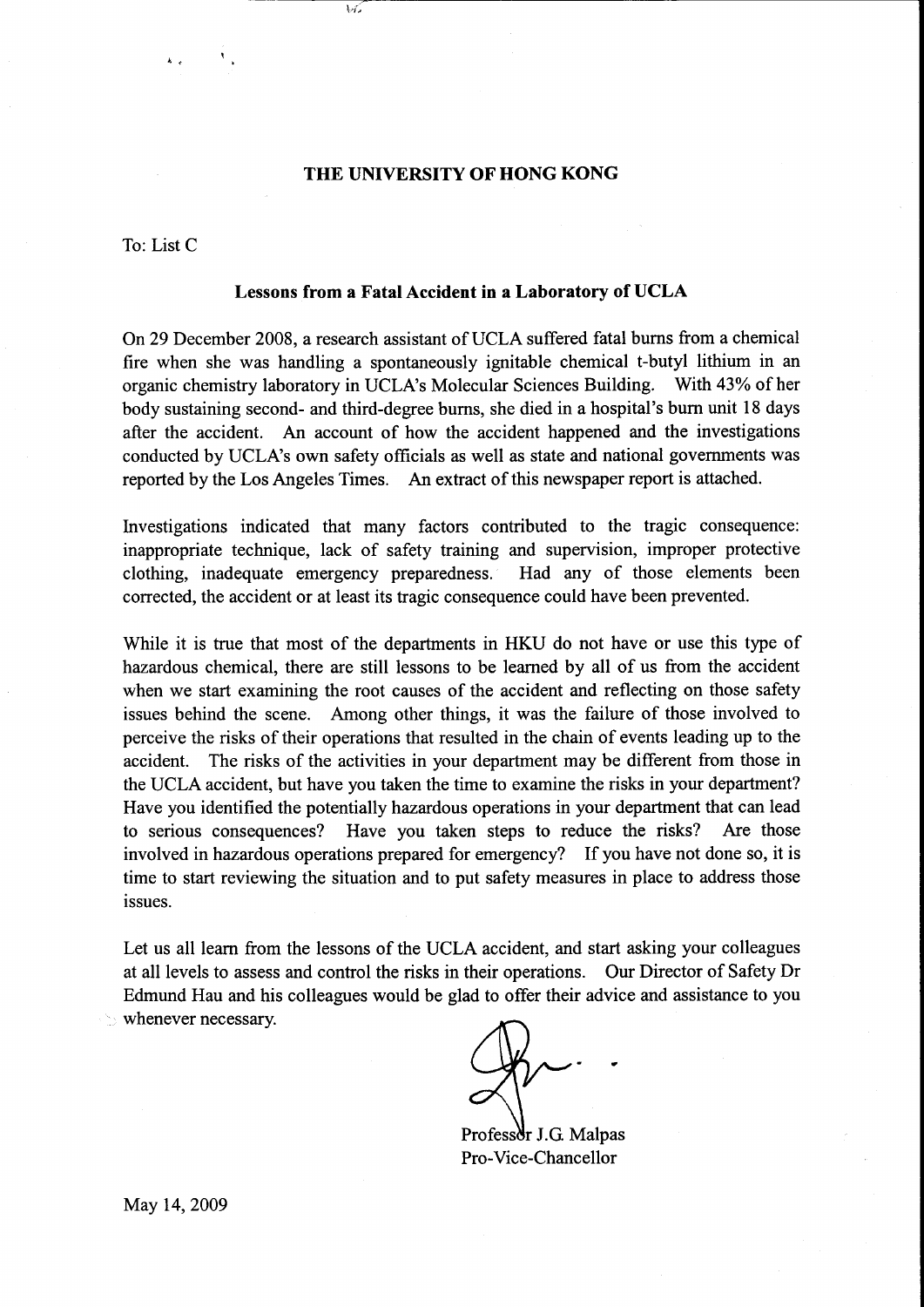# THE UNIVERSITY OF HONG KONG

いご

To: List C

### Lessons from a Fatal Accident in a Laboratory of UCLA

On29 December 2008, a research assistant of UCLA suffered fatal burns from a chemical fire when she was handling a spontaneously ignitable chemical t-butyl lithium in an organic chemistry laboratory in UCLA's Molecular Sciences Building. With 43% of her body sustaining second- and third-degree bums, she died in a hospital's burn unit 18 days after the accident. An account of how the accident happened and the investigations conducted by UCLA's own safety officials as well as state and national governments was reported by the Los Angeles Times. An extract of this newspaper report is attached.

lnvestigations indicated that many factors contributed to the tragic consequence: inappropriate technique, lack of safety training and supervision, improper protective clothing, inadequate emergency preparedness. Had any of those elements been corrected, the accident or at least its tragic consequence could have been prevented.

While it is true that most of the departments in HKU do not have or use this type of hazardous chemical, there are still lessons to be learned by all of us from the accident when we start examining the root causes of the accident and reflecting on those safety issues behind the scene. Among other things, it was the failure of those involved to perceive the risks of their operations that resulted in the chain of events leading up to the accident. The risks of the activities in your department may be different from those in the UCLA accident, but have you taken the time to examine the risks in your department? Have you identified the potentially hazardous operations in your department that can lead to serious consequences? Have you taken steps to reduce the risks? Are those involved in hazardous operations prepared for emergency? If you have not done so, it is time to start reviewing the situation and to put safety measures in place to address those issues.

Let us all learn from the lessons of the UCLA accident, and start asking your colleagues at all levels to assess and control the risks in their operations. Our Director of Safety Dr Edmund Hau and his colleagues would be glad to offer their advice and assistance to you whenever necessary.

Professor J.G. Malpas Pro-Vice-Chancellor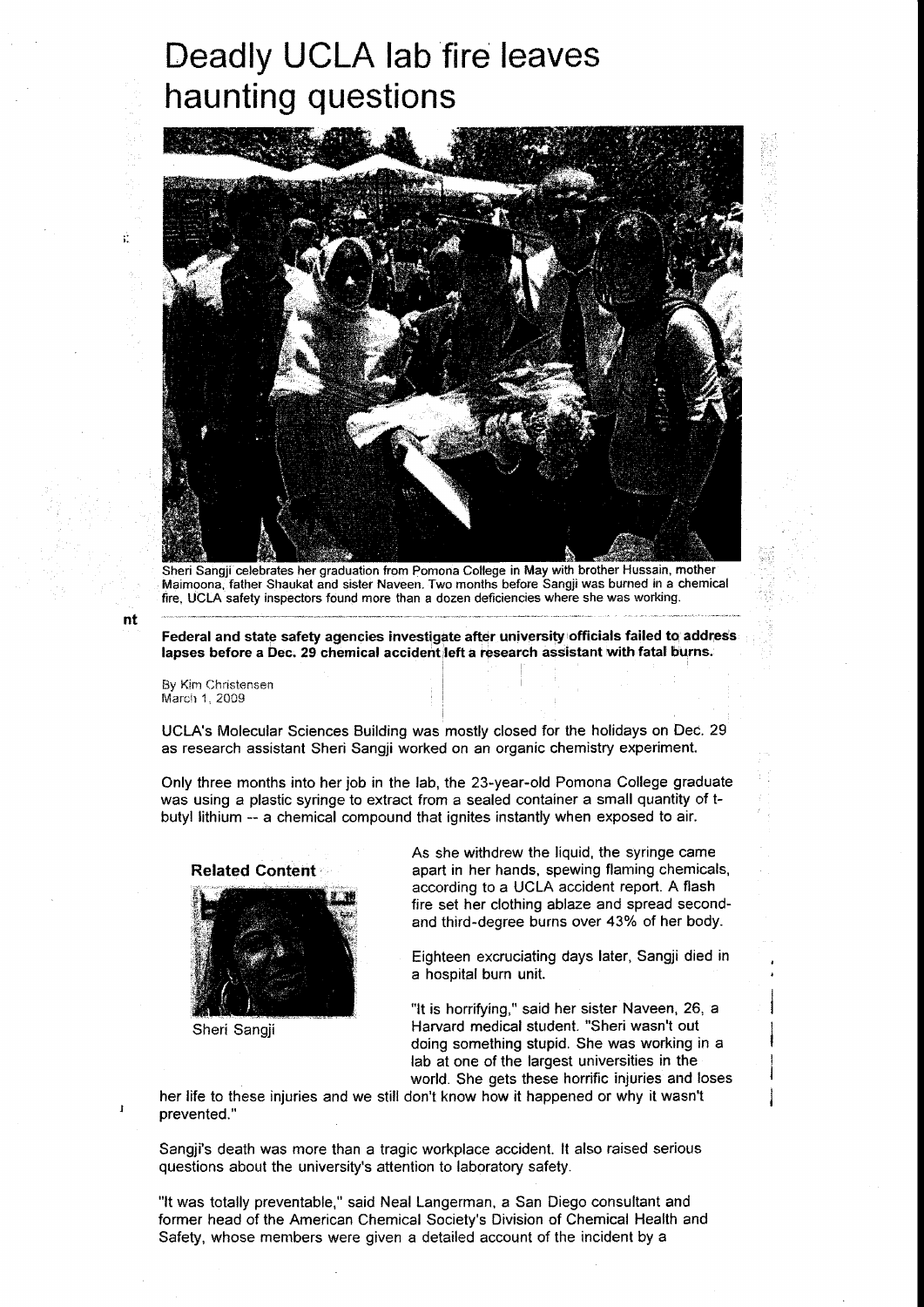# Deadly UCLA lab fire leaves haunting questions



Sheri Sangji celebrates her graduation from Ponrona College in May with brother Hussain, mother Maimoona, father Shaukat and sister Naveen. Two months before Sangji was burned in a chemical fire, UCLA safety inspectors found more than a dozen deficiencies where she was working.

Federal and state safety agencies investigate after university officials failed to address lapses before a Dec. 29 chemical accident left a research assistant with fatal burns.

By Kim Christensen March 1, 2009

UCLA's Molecular Sciences Building was mostly closed for the holidays on Dec. 29 as research assistant Sheri Sangji worked on an organic chemistry experiment.

Only three months into her job in the lab, the 23-year-old Pomona College graduate was using a plastic syringe to extract from a sealed container a small quantity of tbutyl lithium -- a chemical compound that ignites instantly when exposed to air.





Sheri Sangji

As she withdrew the liquid, the syringe came apart in her hands, spewing flaming chemicals, according to a UCLA accident report. A flash fire set her clothing ablaze and spread secondand third-degree burns over 43% of her body.

Eighteen excruciating days later, Sangji died in a hospital burn unit.

"tt is horrifying." said her sister Naveen, 26, a Harvard medical student. "Sheri wasn't out doing something stupid. She was working in a lab at one of the largest universities in the world. She gets these horrific injuries and loses

her life to these injuries and we still don't know how it happened or why it wasn't prevented."

Sangji's death was more than a tragic workplace accident. lt also raised serious questions about the university's attention to laboratory safety.

"lt was totally preventable," said Neal Langerman. a San Diego consultant and former head of the American Chemical Society's Division of Chemical Health and Safety, whose members were given a detailed account of the incident by a

nt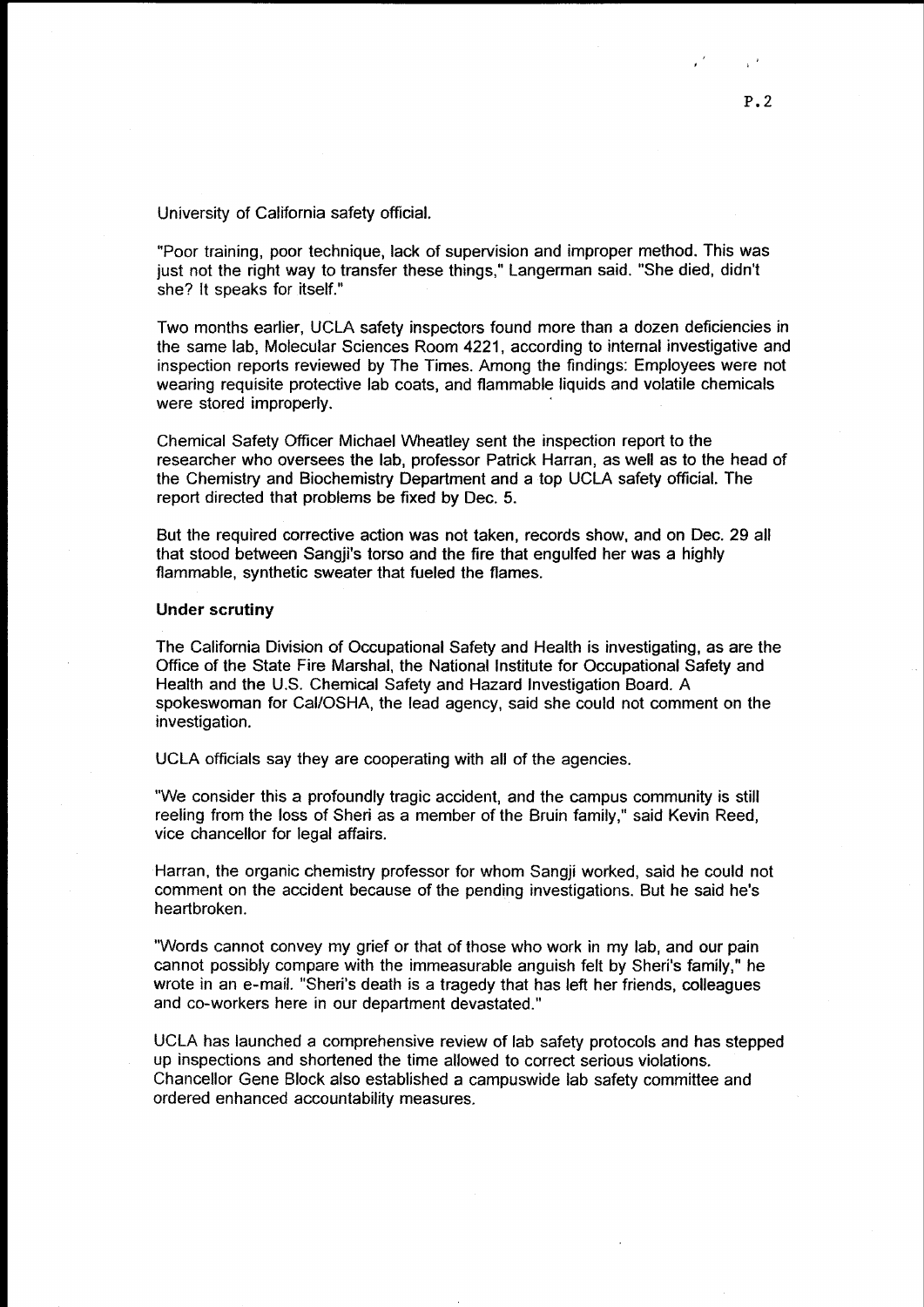University of California safety official.

"Poor training, poor technique, lack of supervision and improper method. This was just not the right way to transfer these things," Langerman said. "She died, didn't she? lt speaks for itself."

Two months earlier, UCLA safety inspectors found more than a dozen deficiencies in the same lab, Molecular Sciences Room 4221, according to internal investigative and inspection reports reviewed by The Times. Among the findings: Employees were not wearing requisite protective lab coats, and flammable liquids and volatile chemicals were stored improperly.

Chemical Safety Officer Michael Wheatley sent the inspection report to the researcher who oversees the lab, professor Patrick Harran, as well as to the head of the Chemistry and Biochemistry Department and a top UCLA safety official. The report directed that problems be fixed by Dec. 5.

But the required corrective action was not taken, records show, and on Dec. 29 all that stood between Sangji's torso and the fire that engulfed her was a highly flammable, synthetic sweater that fueled the flames.

#### Under scrutiny

The California Division of Occupational Safety and Health is investigating, as are the Office of the State Fire Marshal, the National lnstitute for Occupational Safety and Health and the U.S. Chemical Safety and Hazard Investigation Board. A spokeswoman for Cal/OSHA, the lead agency, said she could not comment on the investigation.

UCLA officials say they are cooperating with all of the agencies.

"We consider this a profoundly tragic accident, and the campus community is still reeling from the loss of Sheri as a member of the Bruin family," said Kevin Reed, vice chancellor for legal affairs.

Harran, the organic chemistry professor for whom Sangji worked, said he could not comment on the accident because of the pending investigations. But he said he's heartbroken.

"Words cannot convey my grief or that of those who work in my lab, and our pain cannot possibly compare with the immeasurable anguish felt by Sheri's family," he wrote in an e-mail. "Sheri's death is a tragedy that has left her friends, colleagues and co-workers here in our department devastated."

UCLA has launched a comprehensive review of lab safety protocols and has stepped up inspections and shortened the time allowed to correct serious violations. Chancellor Gene Block also established a campuswide lab safety committee and ordered enhanced accountability measures.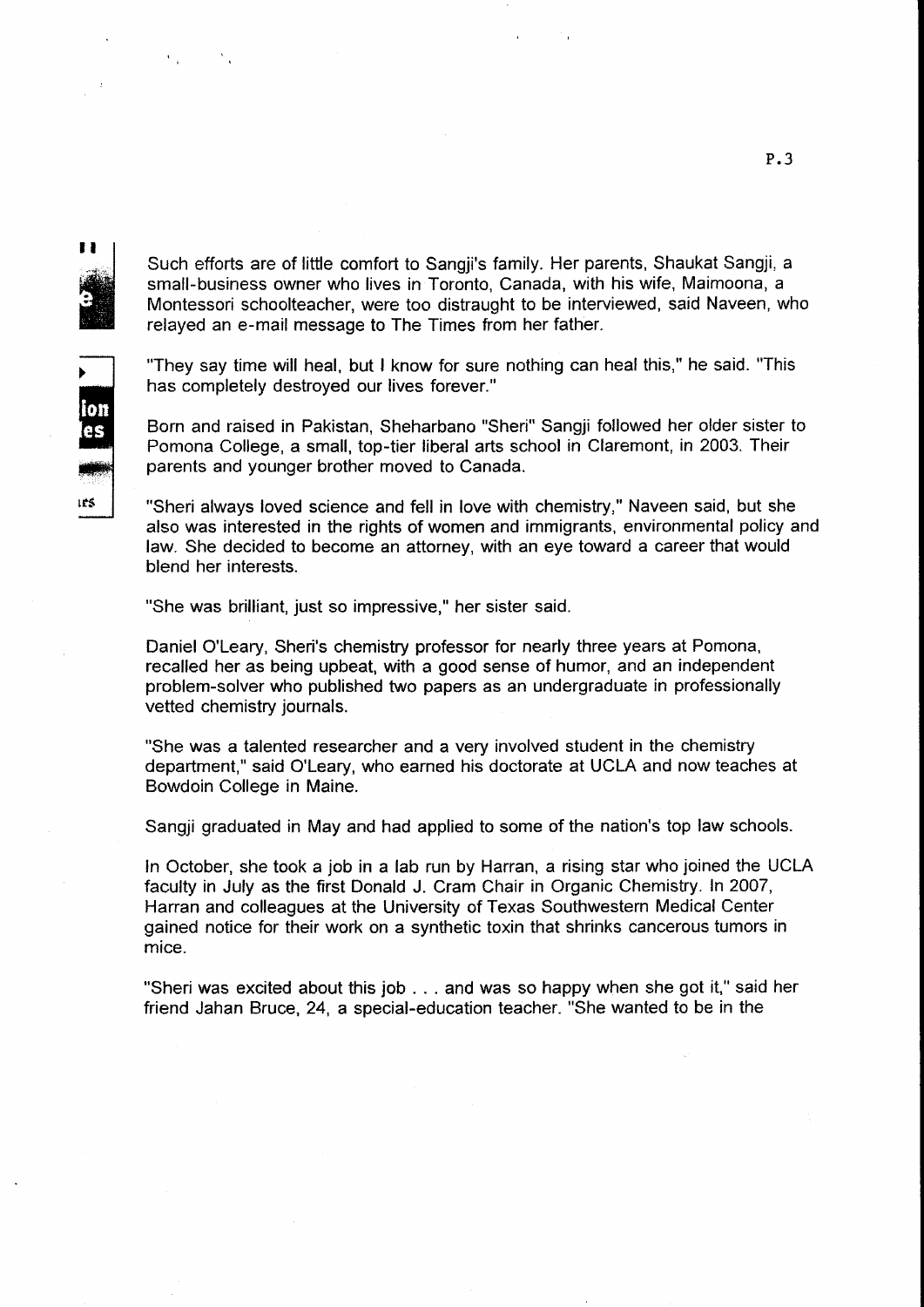$\blacksquare$ 

ion es

ies

Such efforts are of little comfort to Sangji's family. Her parents, Shaukat Sangji, a small-business owner who lives in Toronto, Canada, with his wife, Maimoona, a Montessori schoolteacher, were too distraught to be interviewed, said Naveen, who relayed an e-mail message to The Times from her father.

"They say time will heal, but I know for sure nothing can heal this," he said. "This has completely destroyed our lives forever."

Born and raised in Pakistan, Sheharbano "Sheri" Sangji followed her older sister to Pomona College, a small, top-tier liberal arts school in Claremont, in 2003. Their parents and younger brother moved to Canada.

"Sheri always loved science and fell in love with chemistry," Naveen said, but she also was interested in the rights of women and immigrants, environmental policy and law. She decided to become an attorney, with an eye toward a career that would blend her interests.

"She was brilliant, just so impressive," her sister said.

Daniel O'Leary, Sheri's chemistry professor for nearly three years at Pomona, recalled her as being upbeat, with a good sense of humor, and an independent problem-solver who published two papers as an undergraduate in professionally vetted chemistry journals.

"She was a talented researcher and a very involved student in the chemistry department," said O'Leary, who earned his doctorate at UCLA and now teaches at Bowdoin College in Maine.

Sangji graduated in May and had applied to some of the nation's top law schools.

In October, she took a job in a lab run by Harran, a rising star who joined the UCLA faculty in July as the first Donald J. Cram Chair in Organic Chemistry. In 2007, Harran and colleagues at the University of Texas Southwestern Medical Center gained notice for their work on a synthetic toxin that shrinks cancerous tumors in mice.

"Sheri was excited about this job . . . and was so happy when she got it," said her friend Jahan Bruce, 24, a special-education teacher. "She wanted to be in the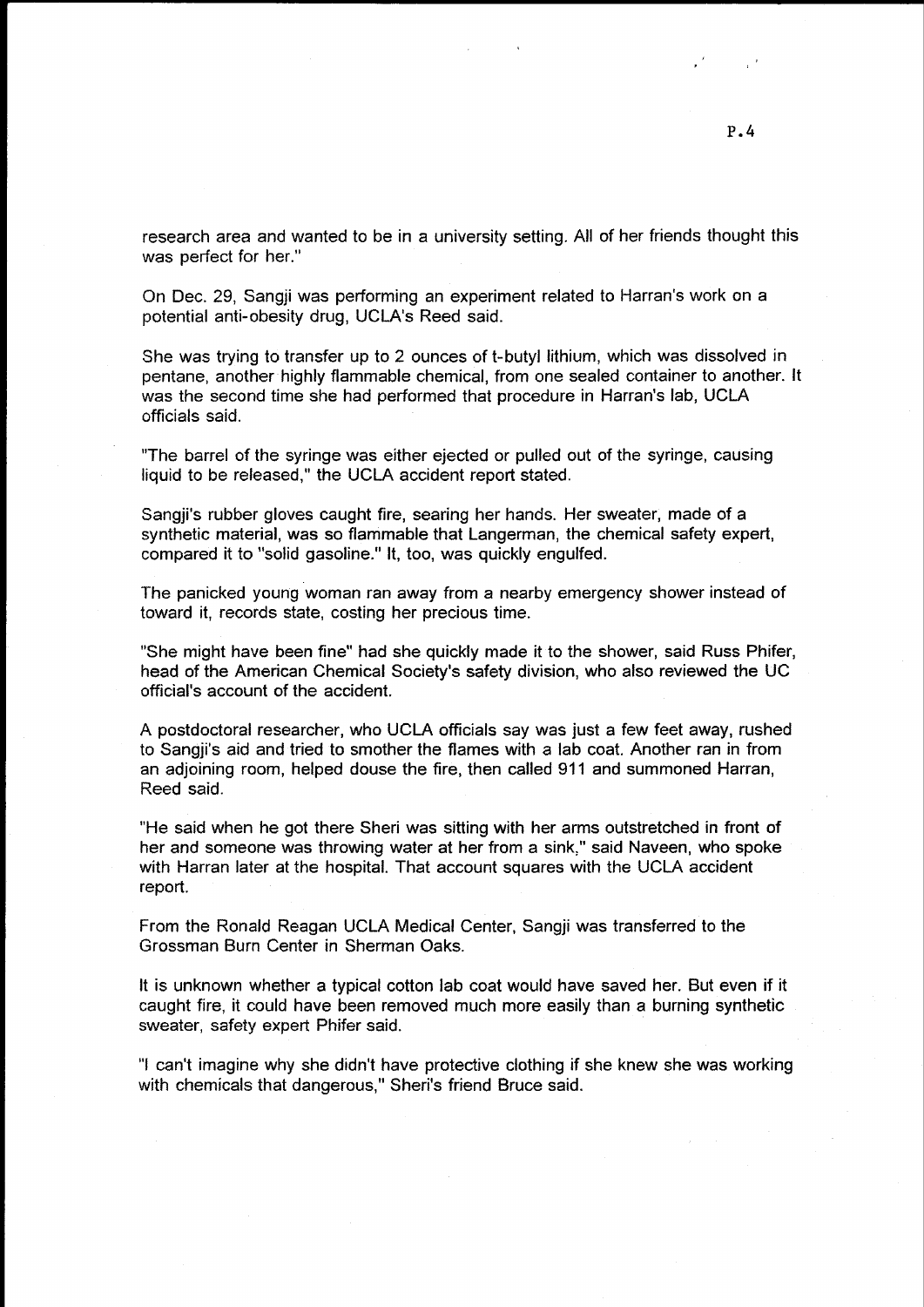research area and wanted to be in a university setting. All of her friends thought this was perfect for her."

On Dec. 29, Sangji was performing an experiment related to Harran's work on a potential anti-obesity drug, UCLA's Reed said.

She was trying to transfer up to 2 ounces of t-butyl lithium, which was dissolved in pentane, another highly flammable chemical, from one sealed container to another. lt was the second time she had performed that procedure in Harran's lab, UCLA officials said.

"The barrel of the syringe was either ejected or pulled out of the syringe, causing liquid to be released," the UCLA accident report stated.

Sangji's rubber gloves caught fire, searing her hands. Her sweater, made of a synthetic material, was so flammable that Langerman, the chemical safety expert, compared it to "solid gasoline." lt, too, was quickly engulfed.

The panicked young woman ran away from a nearby emergency shower instead of toward it, records state, costing her precious time.

"She might have been fine" had she quickly made it to the shower, said Russ Phifer, head of the American Chemical Society's safety division, who also reviewed the UC official's account of the accident.

A postdoctoral researcher, who UCLA officials say was just a few feet away, rushed to Sangji's aid and tried to smother the flames with a lab coat. Another ran in from an adjoining room, helped douse the fire, then called 911 and summoned Harran, Reed said.

"He said when he got there Sheri was sitting with her arms outstretched in front of her and someone was throwing water at her from a sink." said Naveen, who spoke with Harran later at the hospital. That account squares with the UCLA accident report.

From the Ronald Reagan UCLA Medical Center, Sangji was transferred to the Grossman Burn Center in Sherrnan Oaks.

It is unknown whether a typical cotton lab coat would have saved her. But even if it caught fire. it could have been removed much more easily than a burning synthetic sweater, safety expert Phifer said.

"l can't imagine why she didn't have protective clothing if she knew she was working with chemicals that dangerous," Sheri's friend Bruce said.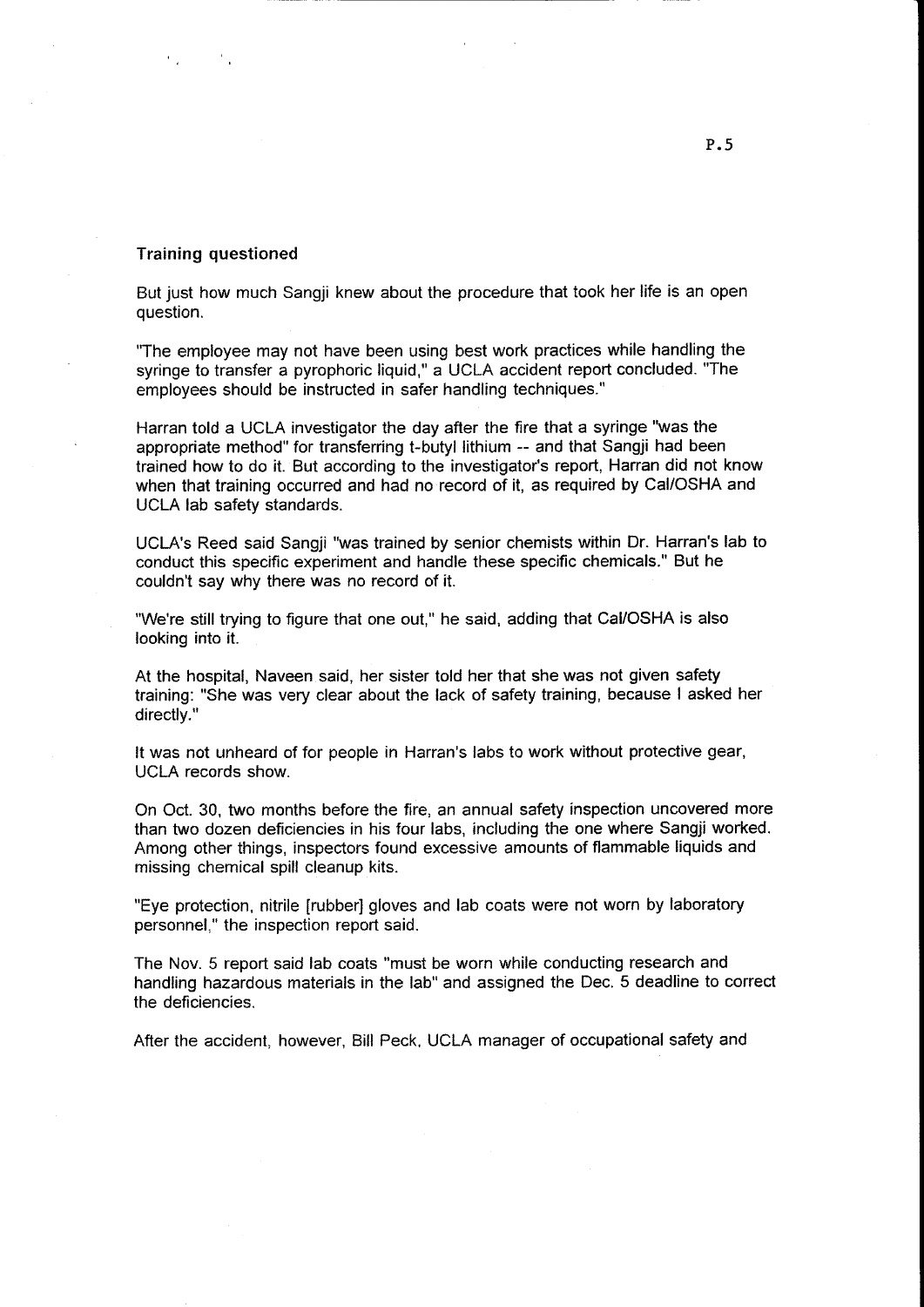# Training questioned

But just how much Sangji knew about the procedure that took her life is an open question.

'The employee may not have been using best work practices while handling the syringe to transfer a pyrophoric liquid," a UCLA accident report concluded. "The employees should be instructed in safer handling techniques."

Harran told a UCLA investigator the day after the fire that a syringe "was the appropriate method" for transferring t-butyl lithium -- and that Sangji had been trained how to do it. But according to the investigator's report, Harran did not know when that training occurred and had no record of it, as required by CaI/OSHA and UCLA lab safety standards.

UCLA's Reed said Sangji "was trained by senior chemists within Dr. Harran's lab to conduct this specific experiment and handle these specific chemicals." But he couldn't say why there was no record of it.

"We're still trying to figure that one out," he said, adding that Ca|/OSHA is also looking into it.

At the hospital, Naveen said, her sister told her that she was not given safety training: "She was very clear about the lack of safety training, because I asked her directly."

It was not unheard of for people in Harran's labs to work without protective gear, UCLA records show.

On Oct. 30, two months before the fire, an annual safety inspection uncovered more than two dozen deficiencies in his four labs, including the one where Sangji worked. Among other things, inspectors found excessive amounts of flammable liquids and missing chemical spill cleanup kits.

"Eye protection, nitrile [rubber] gloves and lab coats were not worn by laboratory personnel," the inspection report said.

The Nov. 5 report said lab coats "must be worn while conducting research and handling hazardous materials in the lab" and assigned the Dec. 5 deadline to correct the deficiencies.

After the accident, however, Bill Peck, UCLA manager of occupational safety and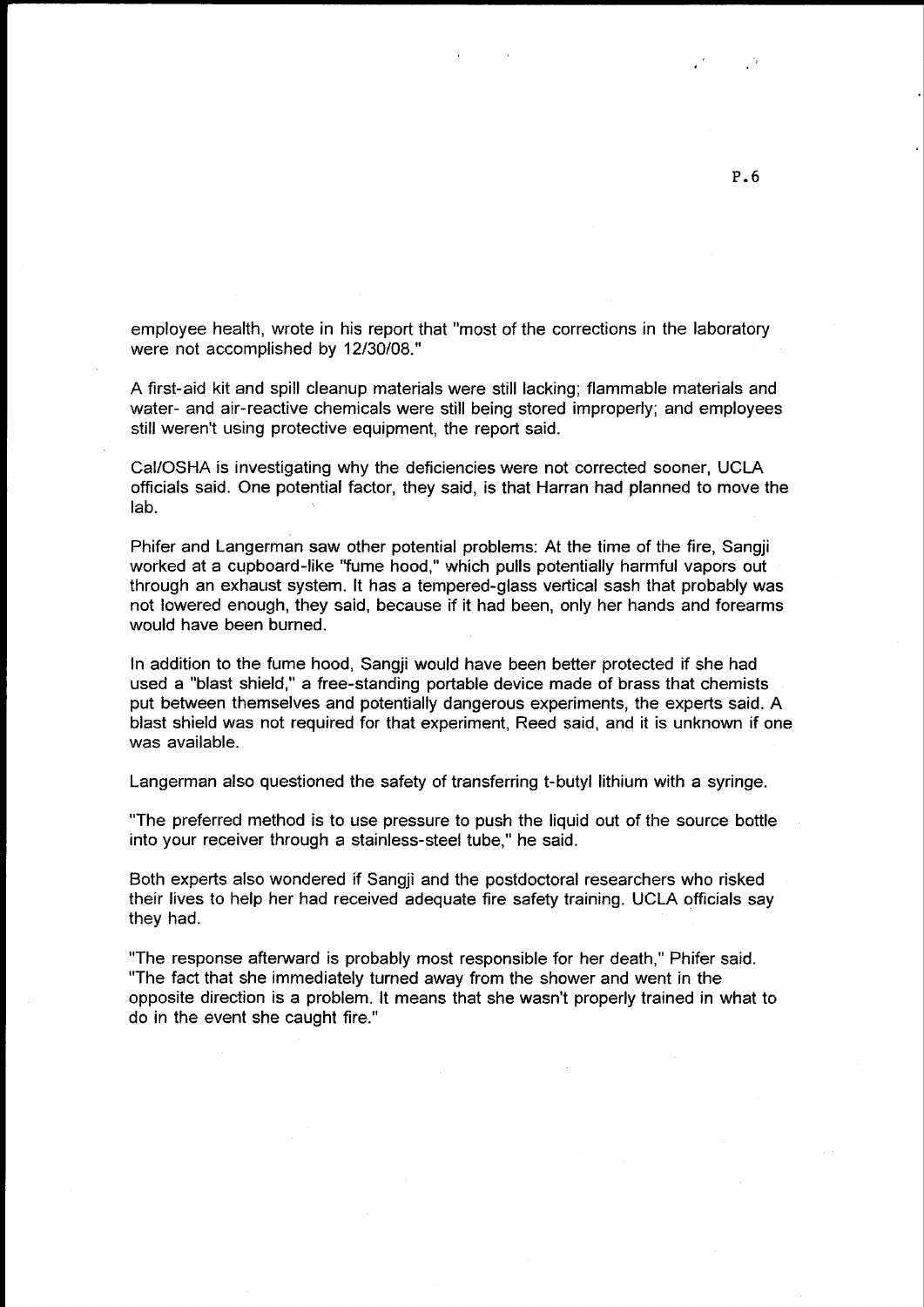employee health, wrote in his report that "most of the corrections in the laboratory were not accomplished by 12/30/08."

A first-aid kit and spill cleanup materials were still lacking; flammable materials and water- and air-reactive chemicals were still being stored improperly; and employees still weren't using protective equipment, the report said.

Ca!/OSHA is investigating why the deficiencies were not corrected sooner, UCLA officials said. One potential factor, they said, is that Harran had planned to move the lab.

Phifer and Langerman saw other potential problems: At the time of the fire, Sangji worked at a cupboard-like "fume hood," which pulls potentially harmful vapors out through an exhaust system. lt has a tempered-glass veftical sash that probably was not lowered enough, they said, because if it had been, only her hands and forearms would have been burned.

In addition to the fume hood, Sangji would have been better protected if she had used a "blast shield," a free-standing portable device made of brass that chemists put between themselves and potentially dangerous experiments, the experts said. A blast shield was not required for that experiment, Reed said, and it is unknown if one was available.

Langerman also questioned the safety of transferring t-butyl lithium with a syringe.

"The preferred method is to use pressure to push the liquid out of the source bottle into your receiver through a stainless-steel tube," he said.

Both experts also wondered if Sangji and the postdoctoral researchers who risked their lives to help her had received adequate fire safety training. UCLA officials say they had.

"The response afterward is probably most responsible for her death," Phifer said. "The fact that she immediately turned away from the shower and went in the opposite direction is a problem. lt means that she wasn't properly trained in what to do in the event she caught fire."

P.6